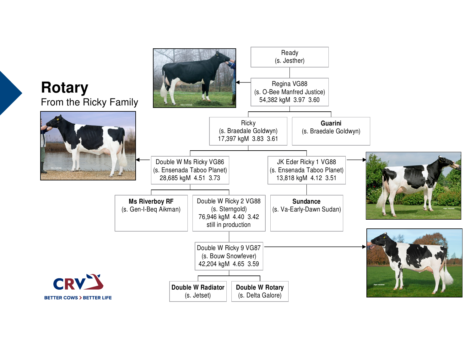